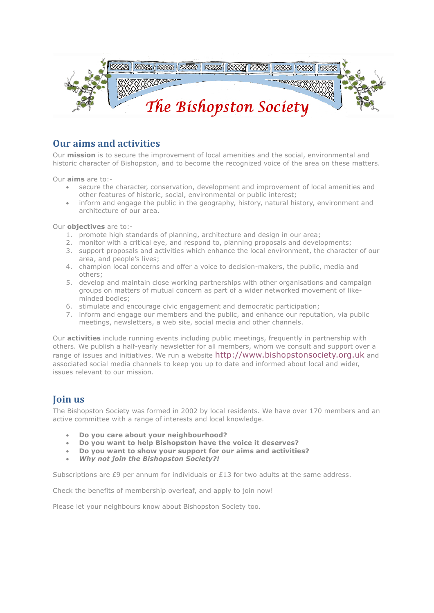

## **Our aims and activities**

Our **mission** is to secure the improvement of local amenities and the social, environmental and historic character of Bishopston, and to become the recognized voice of the area on these matters.

Our **aims** are to:-

- secure the character, conservation, development and improvement of local amenities and other features of historic, social, environmental or public interest;
- inform and engage the public in the geography, history, natural history, environment and architecture of our area.

Our **objectives** are to:-

- 1. promote high standards of planning, architecture and design in our area;
- 2. monitor with a critical eye, and respond to, planning proposals and developments;
- 3. support proposals and activities which enhance the local environment, the character of our area, and people's lives;
- 4. champion local concerns and offer a voice to decision-makers, the public, media and others;
- 5. develop and maintain close working partnerships with other organisations and campaign groups on matters of mutual concern as part of a wider networked movement of likeminded bodies;
- 6. stimulate and encourage civic engagement and democratic participation;
- 7. inform and engage our members and the public, and enhance our reputation, via public meetings, newsletters, a web site, social media and other channels.

Our **activities** include running events including public meetings, frequently in partnership with others. We publish a half-yearly newsletter for all members, whom we consult and support over a range of issues and initiatives. We run a website http://www.bishopstonsociety.org.uk and associated social media channels to keep you up to date and informed about local and wider, issues relevant to our mission.

## **Join us**

The Bishopston Society was formed in 2002 by local residents. We have over 170 members and an active committee with a range of interests and local knowledge.

- **Do you care about your neighbourhood?**
- **Do you want to help Bishopston have the voice it deserves?**
- **Do you want to show your support for our aims and activities?**
- *Why not join the Bishopston Society?!*

Subscriptions are £9 per annum for individuals or £13 for two adults at the same address.

Check the benefits of membership overleaf, and apply to join now!

Please let your neighbours know about Bishopston Society too.